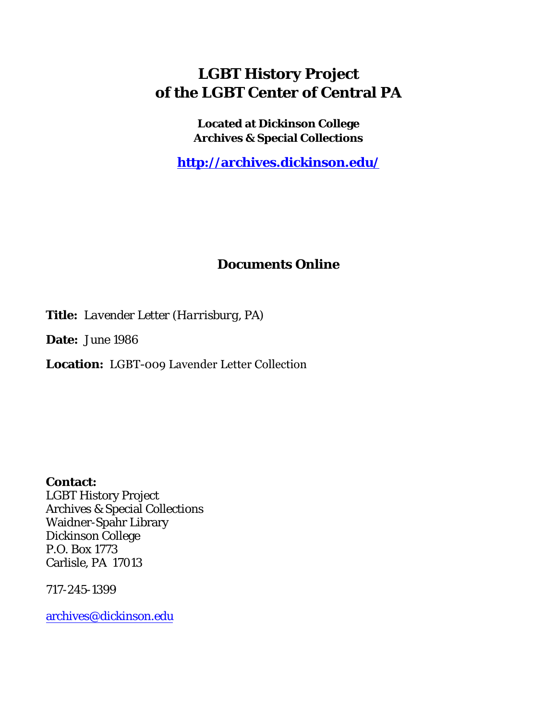## **LGBT History Project of the LGBT Center of Central PA**

**Located at Dickinson College Archives & Special Collections**

**<http://archives.dickinson.edu/>**

## **Documents Online**

**Title:** *Lavender Letter (Harrisburg, PA)*

**Date:** June 1986

**Location:** LGBT-009 Lavender Letter Collection

**Contact:**  LGBT History Project Archives & Special Collections Waidner-Spahr Library Dickinson College P.O. Box 1773 Carlisle, PA 17013

717-245-1399

[archives@dickinson.edu](mailto:archives@dickinson.edu)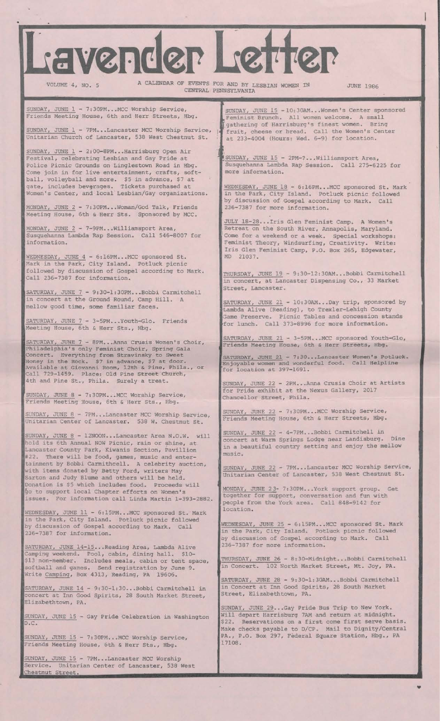Lavender Letter

VOLUME 4, NO. 5 A CALENDAR OF EVENTS FOR AND BY LESBIAN WOMEN IN JUNE 1986 CENTRAL PENNSYLVANIA

**III** 

SUNDAY, JUNE  $1 - 7:30$ PM...MCC Worship Service, Friends Meeting House, 6th and Herr Streets, Hbg.

SUNDAY, JUNE 1 - 7PM...Lancaster MCC Worship Service, Unitarian Church of Lancaster, 538 West Chestnut St.

SUNDAY, JUNE 1 - 2:00-8PM...Harrisburg Open Air Festival, celebrating Lesbian and Gay Pride at Police Picnic Grounds on Linglestown Road in Hbg. Come join in for live entertainment, crafts, softball, volleyball and more. \$5 in advance, \$7 at gate, includes beverages. Tickets purchased at Women's Center, and local Lesbian/Gay organizations.

MONDAY, JUNE 2 - 7:30PM...Woman/God Talk, Friends Meeting House, 6th & Herr Sts. Sponsored by MCC.

MONDAY, JUNE 2 - 7-9PM... Williamsport Area, Susquehanna Lambda Rap Session. Call 546-8007 for information.

WEDNESDAY, JUNE 4 - 6:16PM...MCC sponsored St. Mark in the Park, City Island. Potluck picnic followed by discussion of Gospel according to Mark. Call 236-7387 for information.

SATURDAY, JUNE 7 - 9:30-1:30PM...Bobbi Carmitchell in concert at the Ground Round, Camp Hill. A mellow good time, some familiar faces.

SATURDAY, JUNE 7 - 3-5PM...Youth-Gio. Friends Meeting House, 6th & Herr Sts., Hbg.

SATURDAY, JUNE 7 - 8PM...Anna Crusis Women's Choir, Philadelphia's only Feminist Choir, Spring Gala Concert. Everything from Stravinsky to Sweet Honey in the Rock. \$7 in advance, \$7 at door. Available at Giovanni Room, 12th s Pine, Phila., or Call 729-1459. Place: Old Pine Street Church, 4th and Pine St., Phila. Surely a treat.

SUNDAY, JUNE 8 - 7:30PM...MCC Worship Service, Friends Meeting House, 6th & Herr Sts., Hbg.

SUNDAY, JUNE 8 - 7PM...Lancaster MCC Worship Service, Unitarian Center of Lancaster. 538 W. Chestnut St.

SUNDAY, JUNE 8 - 12NOON...Lancaster Area N.O.W. will hold its 6th Annual NOW Picnic, rain or shine, at Lancaster County Park, Kiwanis Section, Pavillion #22. There will be food, games, music and entertainment by Bobbi Carmithcell. A celebrity auction, with items donated by Betty Ford, writers May Sarton and Judy Blume and others will be held. Donation is \$5 which includes food. Proceeds will go to support local Chapter efforts on Women's issues. For information call Linda Martin 1-393-2882.

WEDNESDAY, JUNE 11 - 6:15PM...MCC sponsored St. Mark in the Park, City Island. Potluck piqnic followed by discussion of Gospel according to Mark. Call 236-7387 for information.

SATURDAY, JUNE 14-15...Reading Area, Lambda Alive Camping weekend. Pool, cabin, dining hall. \$10- \$13 non-member. Includes meals, cabin or tent space, softball and games. Send registration by June 9. Write Camping, Box 4313, Reading, PA 19606.

SATURDAY, JUNE 14 - 9:30-1:30...Bobbi Carmitchell in concert at Inn Good Spirits, 28 South Market Street, Elizabethtown, PA.

SUNDAY, JUNE 15 - Gay Pride Celebration in Washington D.C.

SUNDAY, JUNE 15 - 7:30PM...MCC Worship Service, Friends Meeting House, 6th & Herr Sts., Hbg.

SUNDAY, JUNE 15 - 7PM...Lancaster MCC Worship Service. Unitarian Center of Lancaster, 538 West Chestnut Street.

Feminist Brunch. All women welcome. A small<br>
gathering of Harrisburg's finest women. Bring<br>
fruit, cheese or bread. Call the Women's Center SUNDAY, JUNE 15 - 10:30AM...Women's Center sponsored Feminist Brunch. All women welcome. A small gathering of Harrisburg's finest women. Bring ' at 233-4004 (Hours: Wed. 6-9) for location.

(SUNDAY, JUNE 15 - 2PM-?...Williamsport Area, Susquehanna Lambda Rap Session. Call 275-6225 for more information.

WEDNESDAY, JUNE 18 - 6:16PM...MCC sponsored St. Mark in the Park, City Island. Potluck picnic followed by discussion of Gosper according to Mark. Call 236-7387 for more information.

July 18-28...Iris Glen Feminist Camp. A Women's Retreat on the South River, Annapolis, Maryland. Come for a weekend or a week. Special workshops: Feminist Theory, Windsurfing, Creativity. Write: Iris Glen Feminist Camp, P.O. Box 265, Edgewater, MD 21037.

THURSDAY, JUNE 19 - 9:30-12:30AM...Bobbi Carmitchell in concert, at Lancaster Dispensing Co., 33 Market Street, Lancaster.

SATURDAY, JUNE 21 - 10:30AM...Day trip, sponsored by Lambda Alive (Reading), to Trexler-Lehigh County Game Preserve. Picnic Tables and concession stands •for lunch. Call 373-8996 for more information.

SATURDAY, JUNE 21 - 3-5PM...MCC sponsored Youth-Gio, Friends Meeting House, 6th & Herr Streets, Hbg.

SATURDAY, JUNE 21 - 7:30... Lancaster Women's Potluck. Enjoyable women and wonderful food. Call Helpline for location at 397-1691.

SUNDAY, JUNE 22 - 2PM...Anna Crusis Choir at Artists for Pride exhibit at the Nexus Gallery, 2017 Chancellor Street, Phila.

 $SUNDAY$ , JUNE  $22 - 7:30PM$ ... MCC WORSHIP Service, Friends Meeting House, 6th & Herr Streets, Hbg.

SUNDAY, JUNE 22 - 4-7PM...Bobbi Carmitchell in ' concert at Warm Springs Lodge near Landisburg. Dine in a beautiful country setting and enjoy the mellow music.

SUNDAY, JUNE 22 - 7PM...Lancaster MCC Worship Service, Unitarian Center of Lancaster, 538 West Chestnut St.

MONDAY, JUNE 2 3- 7:30PM...York support group. Get together for support, conversation and fun with people from the York area. Call 848-9142 for location.

WEDNESDAY, JUNE 25 - 6:15PM...MCC sponsored St. Mark in the Park, City Island. Potluck picnic followed by discussion of Gospel according to Mark. Call 236-7387 for more information.

THURSDAY, JUNE 26 - 8:30-Midnight...Bobbi Carmitchell in Concert. 102 North Market Street, Mt. Joy, PA.

SATURDAY, JUNE 28 - 9:30-1:30AM...BODD1 Carmitchell in Concert at Inn Good Spirits, 28 South Market Street, Elizabethtown, PA.

SUNDAY, JUNE 29...Gay Pride Bus Trip to New York. Will depart Harrisburg 7AM and return at midnight. \$22. Reservations on a first come first serve basis. Make checks payable to D/CP. Mail to Dignity/Central PA., P.O. Box 297, Federal Square Station, Hbg., PA 17108.